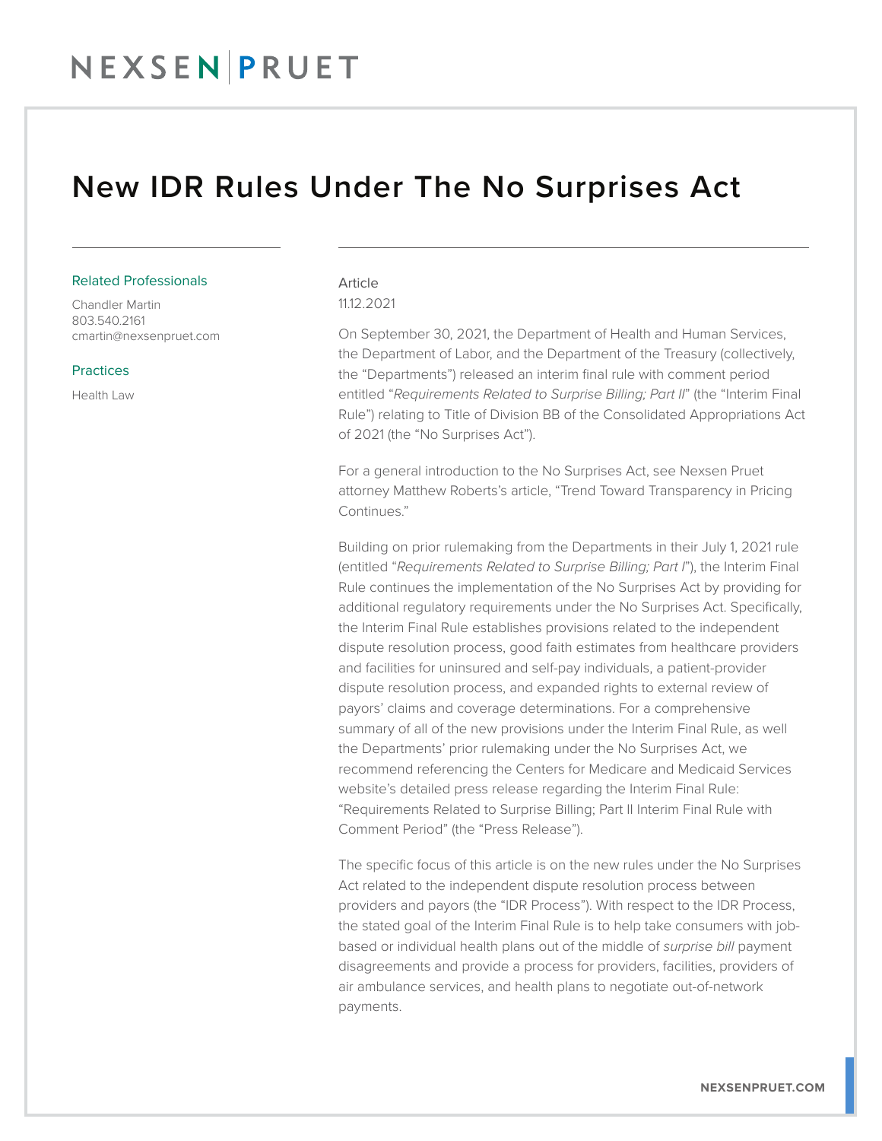### NEXSEN PRUET

### New IDR Rules Under The No Surprises Act

#### Related Professionals

Chandler Martin 803.540.2161 cmartin@nexsenpruet.com

#### **Practices**

Health Law

#### Article 11.12.2021

On September 30, 2021, the Department of Health and Human Services, the Department of Labor, and the Department of the Treasury (collectively, the "Departments") released an interim final rule with comment period entitled "*Requirements Related to Surprise Billing; Part II*" (the "Interim Final Rule") relating to Title of Division BB of the Consolidated Appropriations Act of 2021 (the "No Surprises Act").

For a general introduction to the No Surprises Act, see Nexsen Pruet attorney Matthew Roberts's article, "Trend Toward Transparency in Pricing Continues<sup>"</sup>

Building on prior rulemaking from the Departments in their July 1, 2021 rule (entitled "*Requirements Related to Surprise Billing; Part I*"), the Interim Final Rule continues the implementation of the No Surprises Act by providing for additional regulatory requirements under the No Surprises Act. Specifically, the Interim Final Rule establishes provisions related to the independent dispute resolution process, good faith estimates from healthcare providers and facilities for uninsured and self-pay individuals, a patient-provider dispute resolution process, and expanded rights to external review of payors' claims and coverage determinations. For a comprehensive summary of all of the new provisions under the Interim Final Rule, as well the Departments' prior rulemaking under the No Surprises Act, we recommend referencing the Centers for Medicare and Medicaid Services website's detailed press release regarding the Interim Final Rule: "Requirements Related to Surprise Billing; Part II Interim Final Rule with Comment Period" (the "Press Release").

The specific focus of this article is on the new rules under the No Surprises Act related to the independent dispute resolution process between providers and payors (the "IDR Process"). With respect to the IDR Process, the stated goal of the Interim Final Rule is to help take consumers with jobbased or individual health plans out of the middle of *surprise bill* payment disagreements and provide a process for providers, facilities, providers of air ambulance services, and health plans to negotiate out-of-network payments.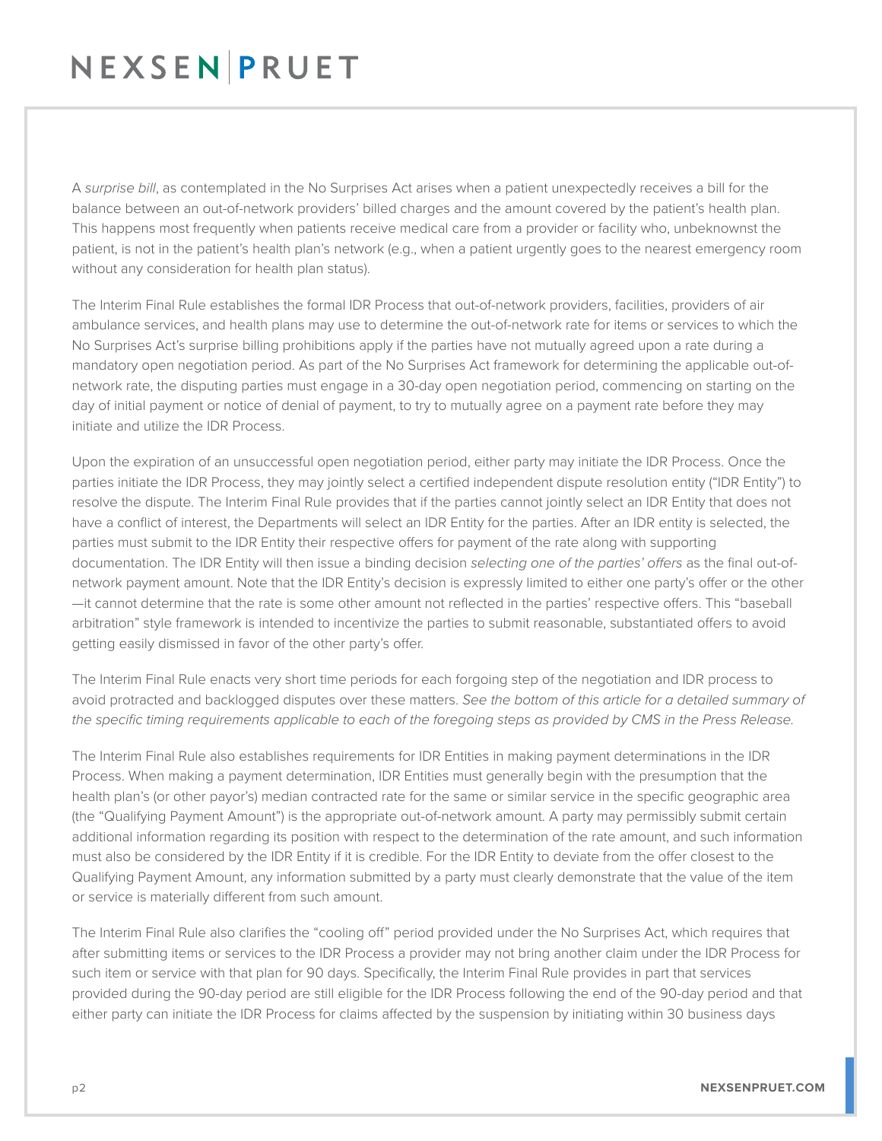# NEXSENPRUET

A *surprise bill*, as contemplated in the No Surprises Act arises when a patient unexpectedly receives a bill for the balance between an out-of-network providers' billed charges and the amount covered by the patient's health plan. This happens most frequently when patients receive medical care from a provider or facility who, unbeknownst the patient, is not in the patient's health plan's network (e.g., when a patient urgently goes to the nearest emergency room without any consideration for health plan status).

The Interim Final Rule establishes the formal IDR Process that out-of-network providers, facilities, providers of air ambulance services, and health plans may use to determine the out-of-network rate for items or services to which the No Surprises Act's surprise billing prohibitions apply if the parties have not mutually agreed upon a rate during a mandatory open negotiation period. As part of the No Surprises Act framework for determining the applicable out-ofnetwork rate, the disputing parties must engage in a 30-day open negotiation period, commencing on starting on the day of initial payment or notice of denial of payment, to try to mutually agree on a payment rate before they may initiate and utilize the IDR Process.

Upon the expiration of an unsuccessful open negotiation period, either party may initiate the IDR Process. Once the parties initiate the IDR Process, they may jointly select a certified independent dispute resolution entity ("IDR Entity") to resolve the dispute. The Interim Final Rule provides that if the parties cannot jointly select an IDR Entity that does not have a conflict of interest, the Departments will select an IDR Entity for the parties. After an IDR entity is selected, the parties must submit to the IDR Entity their respective offers for payment of the rate along with supporting documentation. The IDR Entity will then issue a binding decision *selecting one of the parties' offers* as the final out-ofnetwork payment amount. Note that the IDR Entity's decision is expressly limited to either one party's offer or the other —it cannot determine that the rate is some other amount not reflected in the parties' respective offers. This "baseball arbitration" style framework is intended to incentivize the parties to submit reasonable, substantiated offers to avoid getting easily dismissed in favor of the other party's offer.

The Interim Final Rule enacts very short time periods for each forgoing step of the negotiation and IDR process to avoid protracted and backlogged disputes over these matters. *See the bottom of this article for a detailed summary of the specific timing requirements applicable to each of the foregoing steps as provided by CMS in the Press Release.* 

The Interim Final Rule also establishes requirements for IDR Entities in making payment determinations in the IDR Process. When making a payment determination, IDR Entities must generally begin with the presumption that the health plan's (or other payor's) median contracted rate for the same or similar service in the specific geographic area (the "Qualifying Payment Amount") is the appropriate out-of-network amount. A party may permissibly submit certain additional information regarding its position with respect to the determination of the rate amount, and such information must also be considered by the IDR Entity if it is credible. For the IDR Entity to deviate from the offer closest to the Qualifying Payment Amount, any information submitted by a party must clearly demonstrate that the value of the item or service is materially different from such amount.

The Interim Final Rule also clarifies the "cooling off" period provided under the No Surprises Act, which requires that after submitting items or services to the IDR Process a provider may not bring another claim under the IDR Process for such item or service with that plan for 90 days. Specifically, the Interim Final Rule provides in part that services provided during the 90-day period are still eligible for the IDR Process following the end of the 90-day period and that either party can initiate the IDR Process for claims affected by the suspension by initiating within 30 business days